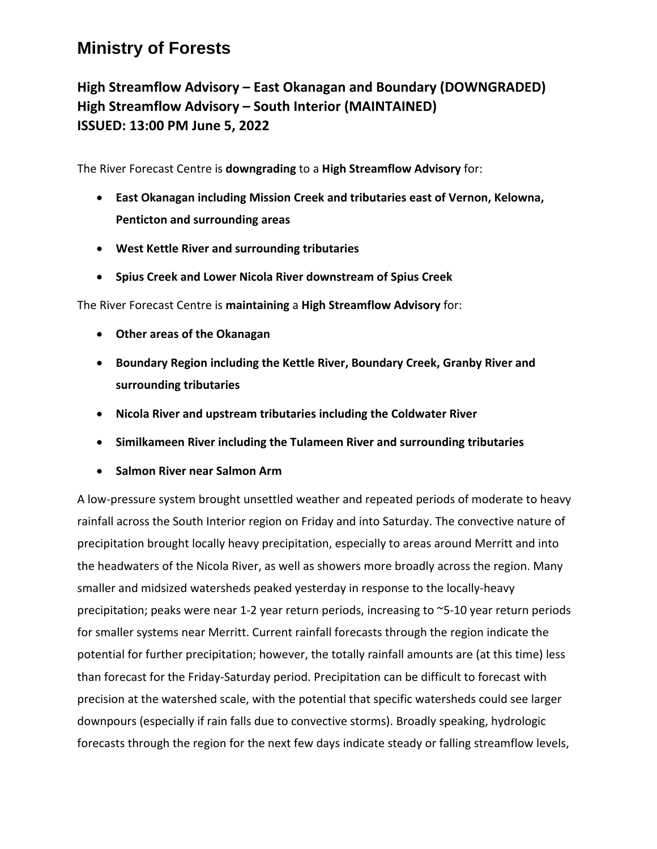## **Ministry of Forests**

## **High Streamflow Advisory – East Okanagan and Boundary (DOWNGRADED) High Streamflow Advisory – South Interior (MAINTAINED) ISSUED: 13:00 PM June 5, 2022**

The River Forecast Centre is **downgrading** to a **High Streamflow Advisory** for:

- **East Okanagan including Mission Creek and tributaries east of Vernon, Kelowna, Penticton and surrounding areas**
- **West Kettle River and surrounding tributaries**
- **Spius Creek and Lower Nicola River downstream of Spius Creek**

The River Forecast Centre is **maintaining** a **High Streamflow Advisory** for:

- **Other areas of the Okanagan**
- **Boundary Region including the Kettle River, Boundary Creek, Granby River and surrounding tributaries**
- **Nicola River and upstream tributaries including the Coldwater River**
- **Similkameen River including the Tulameen River and surrounding tributaries**
- **Salmon River near Salmon Arm**

A low-pressure system brought unsettled weather and repeated periods of moderate to heavy rainfall across the South Interior region on Friday and into Saturday. The convective nature of precipitation brought locally heavy precipitation, especially to areas around Merritt and into the headwaters of the Nicola River, as well as showers more broadly across the region. Many smaller and midsized watersheds peaked yesterday in response to the locally-heavy precipitation; peaks were near 1-2 year return periods, increasing to ~5-10 year return periods for smaller systems near Merritt. Current rainfall forecasts through the region indicate the potential for further precipitation; however, the totally rainfall amounts are (at this time) less than forecast for the Friday-Saturday period. Precipitation can be difficult to forecast with precision at the watershed scale, with the potential that specific watersheds could see larger downpours (especially if rain falls due to convective storms). Broadly speaking, hydrologic forecasts through the region for the next few days indicate steady or falling streamflow levels,